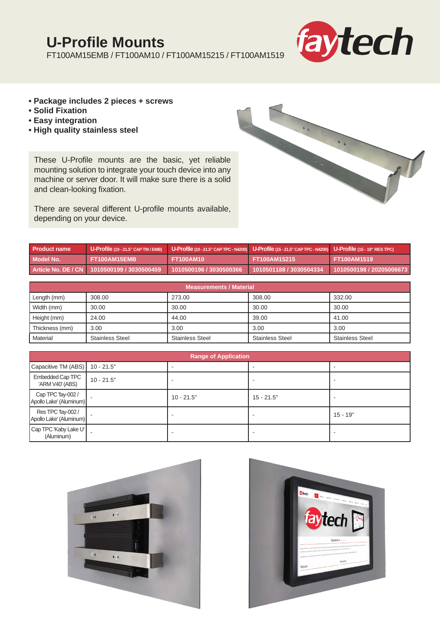## **U-Profile Mounts**

FT100AM15EMB / FT100AM10 / FT100AM15215 / FT100AM1519



- **Package includes 2 pieces + screws**
- **Solid Fixation**
- **Easy integration**
- **High quality stainless steel**

These U-Profile mounts are the basic, yet reliable mounting solution to integrate your touch device into any machine or server door. It will make sure there is a solid and clean-looking fixation.



There are several different U-profile mounts available, depending on your device.

| Product name |                                             | U-Profile (10 - 21.5" CAP TM / EMB)   U-Profile (10 - 21.5" CAP TPC - N4200)   U-Profile (15 - 21.5" CAP TPC - N4200)   U-Profile (15 - 19" RES TPC) |                                       |                          |
|--------------|---------------------------------------------|------------------------------------------------------------------------------------------------------------------------------------------------------|---------------------------------------|--------------------------|
| Model No.    | FT100AM15EMB                                | <b>FT100AM10</b>                                                                                                                                     | FT100AM15215                          | <b>FT100AM1519</b>       |
|              | Article No. DE / CN 1010500199 / 3030500459 | l = 1010500196 / 3030500366 <sup>\</sup>                                                                                                             | $1010501188$ / 3030504334 $^{\prime}$ | 1010500198 / 20205006673 |

| <b>Measurements / Material</b> |                        |                        |                        |                        |
|--------------------------------|------------------------|------------------------|------------------------|------------------------|
| Length (mm)                    | 308.00                 | 273.00                 | 308.00                 | 332.00                 |
| Width (mm)                     | 30.00                  | 30.00                  | 30.00                  | 30.00                  |
| Height (mm)                    | 24.00                  | 44.00                  | 39.00                  | 41.00                  |
| Thickness (mm)                 | 3.00                   | 3.00                   | 3.00                   | 3.00                   |
| Material                       | <b>Stainless Steel</b> | <b>Stainless Steel</b> | <b>Stainless Steel</b> | <b>Stainless Steel</b> |

| <b>Range of Application</b>                   |              |              |              |            |
|-----------------------------------------------|--------------|--------------|--------------|------------|
| Capacitive TM (ABS)                           | $10 - 21.5"$ |              |              |            |
| <b>Embedded Cap TPC</b><br>'ARM V40' (ABS)    | $10 - 21.5"$ |              |              |            |
| Cap TPC 'fay-002 /<br>Apollo Lake' (Aluminum) |              | $10 - 21.5"$ | $15 - 21.5"$ |            |
| Res TPC 'fay-002 /<br>Apollo Lake' (Aluminum) |              |              |              | $15 - 19"$ |
| Cap TPC 'Kaby Lake U'  <br>(Aluminum)         |              |              |              |            |